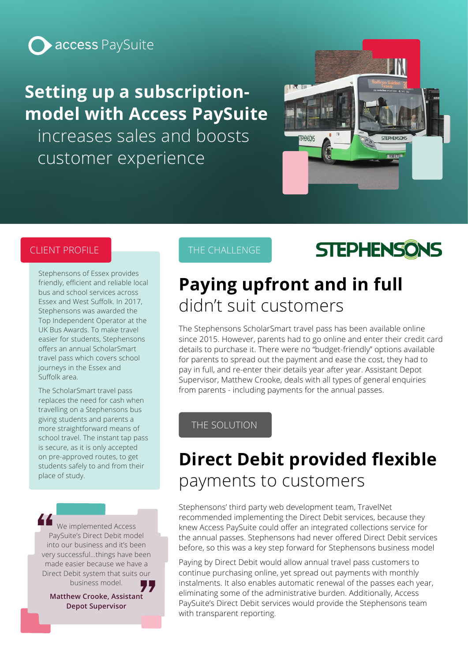

# **Setting up a subscriptionmodel with Access PaySuite**

increases sales and boosts customer experience



#### CLIENT PROFILE

Stephensons of Essex provides friendly, efficient and reliable local bus and school services across Essex and West Suffolk. In 2017, Stephensons was awarded the Top Independent Operator at the UK Bus Awards. To make travel easier for students, Stephensons offers an annual ScholarSmart travel pass which covers school journeys in the Essex and Suffolk area.

The ScholarSmart travel pass replaces the need for cash when travelling on a Stephensons bus giving students and parents a more straightforward means of school travel. The instant tap pass is secure, as it is only accepted on pre-approved routes, to get students safely to and from their place of study.

We implemented Access PaySuite's Direct Debit model into our business and it's been very successful…things have been made easier because we have a Direct Debit system that suits our business model.

**Matthew Crooke, Assistant Depot Supervisor**

### THE CHALLENGE

# **STEPHENSONS**

### **Paying upfront and in full** didn't suit customers

The Stephensons ScholarSmart travel pass has been available online since 2015. However, parents had to go online and enter their credit card details to purchase it. There were no "budget-friendly" options available for parents to spread out the payment and ease the cost, they had to pay in full, and re-enter their details year after year. Assistant Depot Supervisor, Matthew Crooke, deals with all types of general enquiries from parents - including payments for the annual passes.

### THE SOLUTION

## **Direct Debit provided flexible**  payments to customers

Stephensons' third party web development team, TravelNet recommended implementing the Direct Debit services, because they knew Access PaySuite could offer an integrated collections service for the annual passes. Stephensons had never offered Direct Debit services before, so this was a key step forward for Stephensons business model

Paying by Direct Debit would allow annual travel pass customers to continue purchasing online, yet spread out payments with monthly instalments. It also enables automatic renewal of the passes each year, eliminating some of the administrative burden. Additionally, Access PaySuite's Direct Debit services would provide the Stephensons team with transparent reporting.